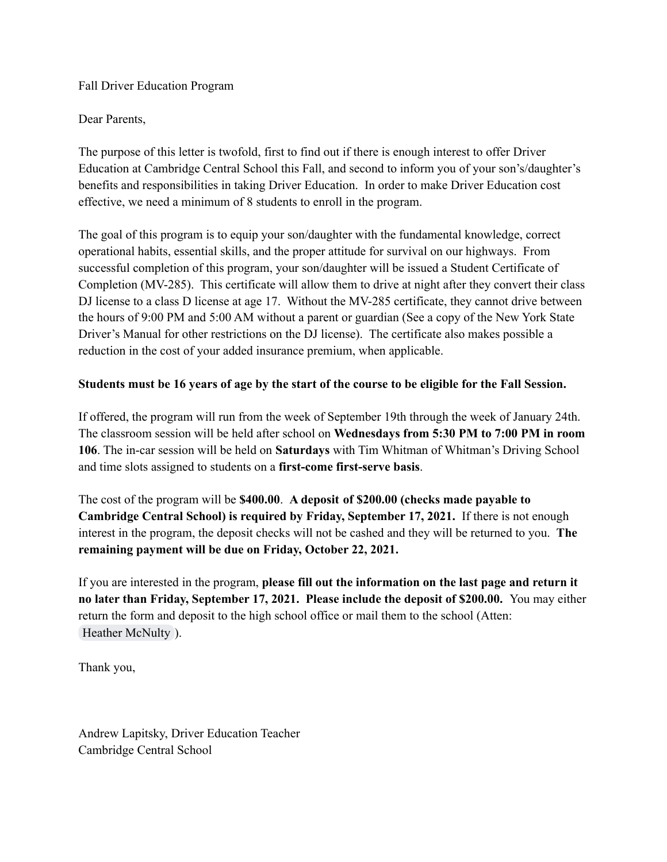Fall Driver Education Program

Dear Parents,

The purpose of this letter is twofold, first to find out if there is enough interest to offer Driver Education at Cambridge Central School this Fall, and second to inform you of your son's/daughter's benefits and responsibilities in taking Driver Education. In order to make Driver Education cost effective, we need a minimum of 8 students to enroll in the program.

The goal of this program is to equip your son/daughter with the fundamental knowledge, correct operational habits, essential skills, and the proper attitude for survival on our highways. From successful completion of this program, your son/daughter will be issued a Student Certificate of Completion (MV-285). This certificate will allow them to drive at night after they convert their class DJ license to a class D license at age 17. Without the MV-285 certificate, they cannot drive between the hours of 9:00 PM and 5:00 AM without a parent or guardian (See a copy of the New York State Driver's Manual for other restrictions on the DJ license). The certificate also makes possible a reduction in the cost of your added insurance premium, when applicable.

## Students must be 16 years of age by the start of the course to be eligible for the Fall Session.

If offered, the program will run from the week of September 19th through the week of January 24th. The classroom session will be held after school on **Wednesdays from 5:30 PM to 7:00 PM in room 106**. The in-car session will be held on **Saturdays** with Tim Whitman of Whitman's Driving School and time slots assigned to students on a **first-come first-serve basis**.

The cost of the program will be **\$400.00**. **A deposit of \$200.00 (checks made payable to Cambridge Central School) is required by Friday, September 17, 2021.** If there is not enough interest in the program, the deposit checks will not be cashed and they will be returned to you. **The remaining payment will be due on Friday, October 22, 2021.**

If you are interested in the program, **please fill out the information on the last page and return it no later than Friday, September 17, 2021. Please include the deposit of \$200.00.** You may either return the form and deposit to the high school office or mail them to the school (Atten: Heather [McNulty](mailto:heather.mcnulty@cambridgecsd.org) ).

Thank you,

Andrew Lapitsky, Driver Education Teacher Cambridge Central School